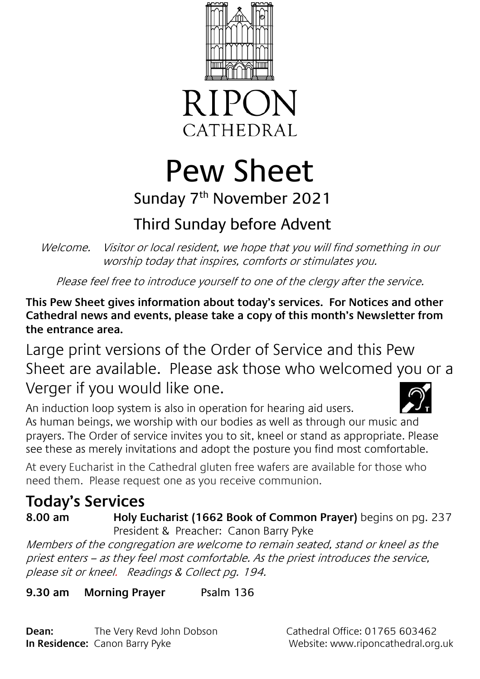



Pew Sheet Sunday 7<sup>th</sup> November 2021

# Third Sunday before Advent

Welcome. Visitor or local resident, we hope that you will find something in our worship today that inspires, comforts or stimulates you.

Please feel free to introduce yourself to one of the clergy after the service.

**This Pew Sheet gives information about today's services. For Notices and other Cathedral news and events, please take a copy of this month's Newsletter from the entrance area.** 

Large print versions of the Order of Service and this Pew Sheet are available. Please ask those who welcomed you or a Verger if you would like one.

An induction loop system is also in operation for hearing aid users. As human beings, we worship with our bodies as well as through our music and prayers. The Order of service invites you to sit, kneel or stand as appropriate. Please see these as merely invitations and adopt the posture you find most comfortable.

At every Eucharist in the Cathedral gluten free wafers are available for those who need them. Please request one as you receive communion.

## **Today's Services**

**8.00 am Holy Eucharist (1662 Book of Common Prayer)** begins on pg. 237 President & Preacher: Canon Barry Pyke

Members of the congregation are welcome to remain seated, stand or kneel as the priest enters – as they feel most comfortable. As the priest introduces the service, please sit or kneel. Readings & Collect pg. 194.

**9.30 am Morning Prayer** Psalm 136

**Dean:** The Very Revd John Dobson Cathedral Office: 01765 603462 **In Residence:** Canon Barry Pyke Website: www.riponcathedral.org.uk